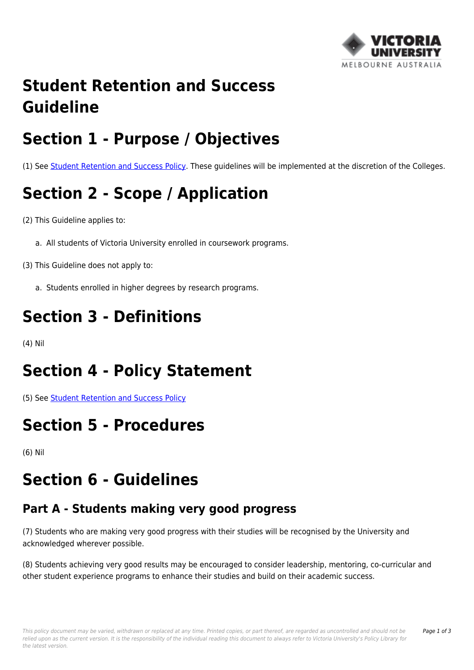

### **Student Retention and Success Guideline**

## **Section 1 - Purpose / Objectives**

(1) See [Student Retention and Success Policy.](https://policy.vu.edu.au/document/view.php?id=7) These guidelines will be implemented at the discretion of the Colleges.

# **Section 2 - Scope / Application**

(2) This Guideline applies to:

a. All students of Victoria University enrolled in coursework programs.

(3) This Guideline does not apply to:

a. Students enrolled in higher degrees by research programs.

## **Section 3 - Definitions**

(4) Nil

### **Section 4 - Policy Statement**

(5) See [Student Retention and Success Policy](https://policy.vu.edu.au/document/view.php?id=7)

### **Section 5 - Procedures**

(6) Nil

## **Section 6 - Guidelines**

#### **Part A - Students making very good progress**

(7) Students who are making very good progress with their studies will be recognised by the University and acknowledged wherever possible.

(8) Students achieving very good results may be encouraged to consider leadership, mentoring, co-curricular and other student experience programs to enhance their studies and build on their academic success.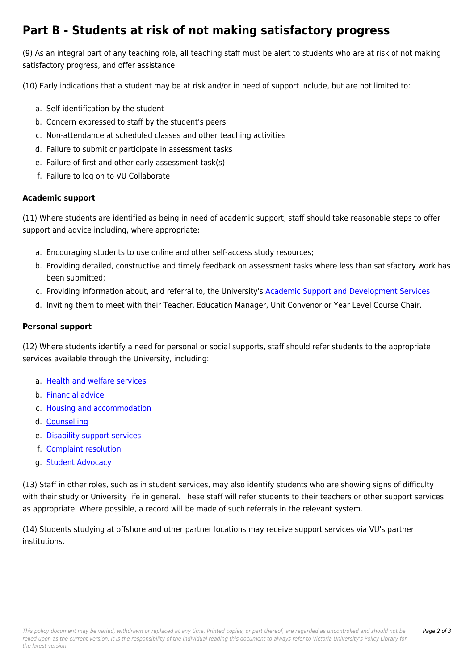#### **Part B - Students at risk of not making satisfactory progress**

(9) As an integral part of any teaching role, all teaching staff must be alert to students who are at risk of not making satisfactory progress, and offer assistance.

(10) Early indications that a student may be at risk and/or in need of support include, but are not limited to:

- a. Self-identification by the student
- b. Concern expressed to staff by the student's peers
- c. Non-attendance at scheduled classes and other teaching activities
- d. Failure to submit or participate in assessment tasks
- e. Failure of first and other early assessment task(s)
- f. Failure to log on to VU Collaborate

#### **Academic support**

(11) Where students are identified as being in need of academic support, staff should take reasonable steps to offer support and advice including, where appropriate:

- a. Encouraging students to use online and other self-access study resources;
- b. Providing detailed, constructive and timely feedback on assessment tasks where less than satisfactory work has been submitted;
- c. Providing information about, and referral to, the University's [Academic Support and Development Services](http://policy.vu.edu.au/download.php?id=189&version=1&associated)
- d. Inviting them to meet with their Teacher, Education Manager, Unit Convenor or Year Level Course Chair.

#### **Personal support**

(12) Where students identify a need for personal or social supports, staff should refer students to the appropriate services available through the University, including:

- a. [Health and welfare services](http://policy.vu.edu.au/download.php?id=190&version=2&associated)
- b. [Financial advice](http://policy.vu.edu.au/download.php?id=191&version=1&associated)
- c. [Housing and accommodation](http://policy.vu.edu.au/download.php?id=192&version=1&associated)
- d. [Counselling](http://policy.vu.edu.au/download.php?id=193&version=1&associated)
- e. [Disability support services](http://policy.vu.edu.au/download.php?id=194&version=1&associated)
- f. [Complaint resolution](http://policy.vu.edu.au/download.php?id=195&version=1&associated)
- g. [Student Advocacy](http://policy.vu.edu.au/download.php?id=196&version=1&associated)

(13) Staff in other roles, such as in student services, may also identify students who are showing signs of difficulty with their study or University life in general. These staff will refer students to their teachers or other support services as appropriate. Where possible, a record will be made of such referrals in the relevant system.

(14) Students studying at offshore and other partner locations may receive support services via VU's partner institutions.